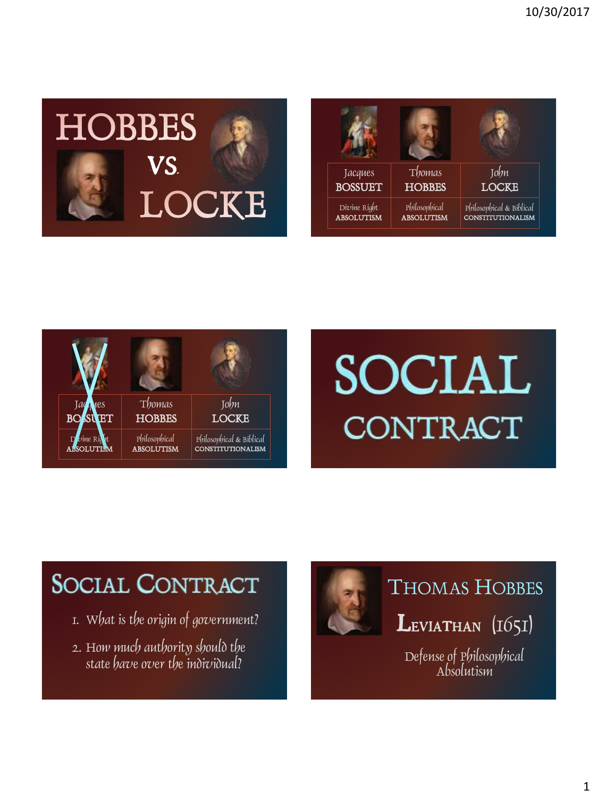





# SOCIAL CONTRACT

## **SOCIAL CONTRACT**

- 1. What is the origin of government?
- 2. How much authority should the state have over the individual?



## THOMAS HOBBES

 $L$ eviathan  $(1651)$ 

Defense of Philosophical Absolutism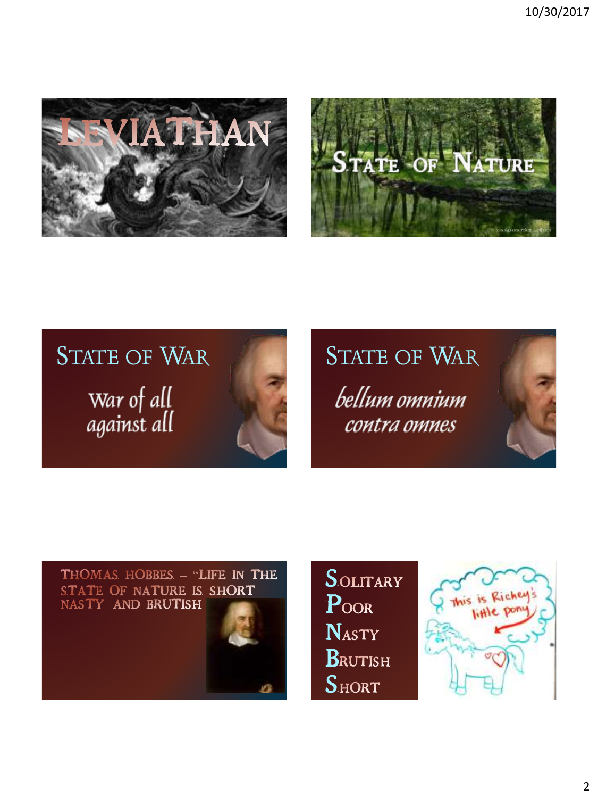





# bellum omnium contra omnes







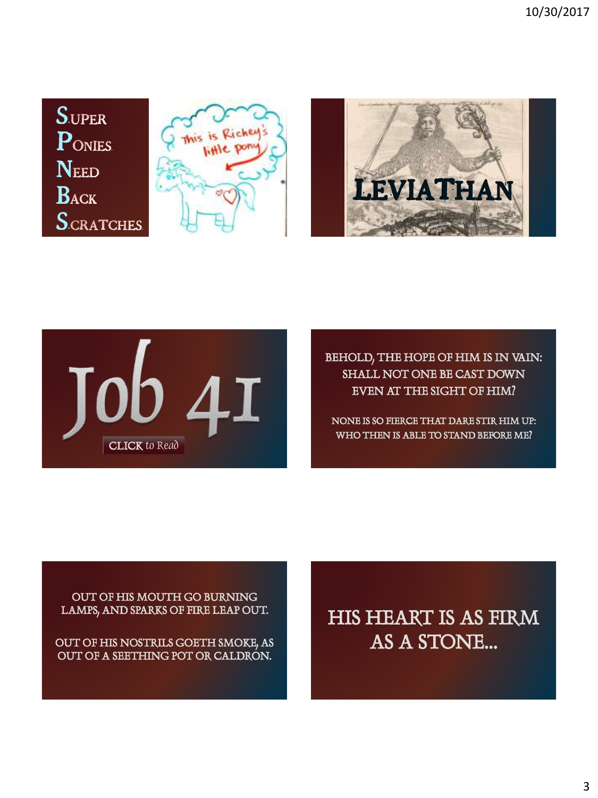







BEHOLD, THE HOPE OF HIM IS IN VAIN: SHALL NOT ONE BE CAST DOWN EVEN AT THE SIGHT OF HIM?

NONE IS SO FIERCE THAT DARE STIR HIM UP: WHO THEN IS ABLE TO STAND BEFORE ME?

#### OUT OF HIS MOUTH GO BURNING LAMPS, AND SPARKS OF FIRE LEAP OUT.

OUT OF HIS NOSTRILS GOETH SMOKE, AS OUT OF A SEETHING POT OR CALDRON.

### HIS HEART IS AS FIRM AS A STONE…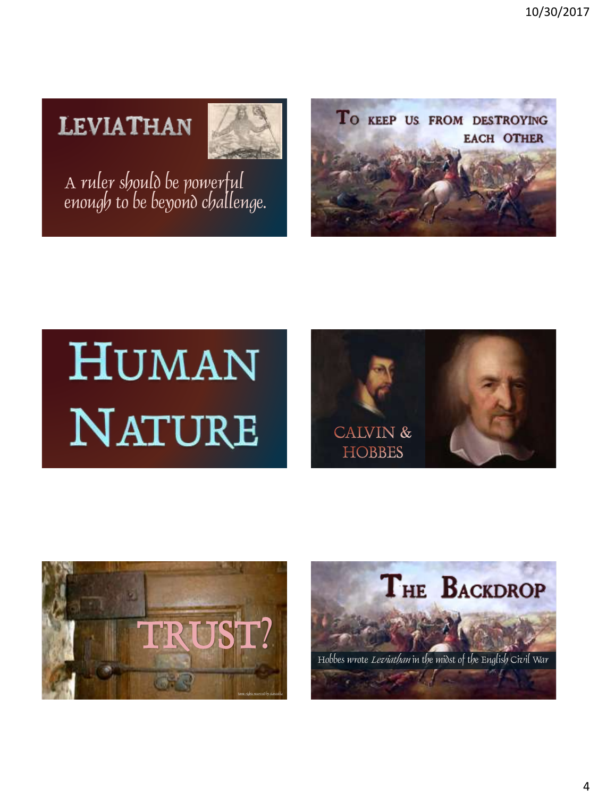## **LEVIATHAN**



A ruler should be powerful enough to be beyond challenge.



# **HUMAN** NATURE





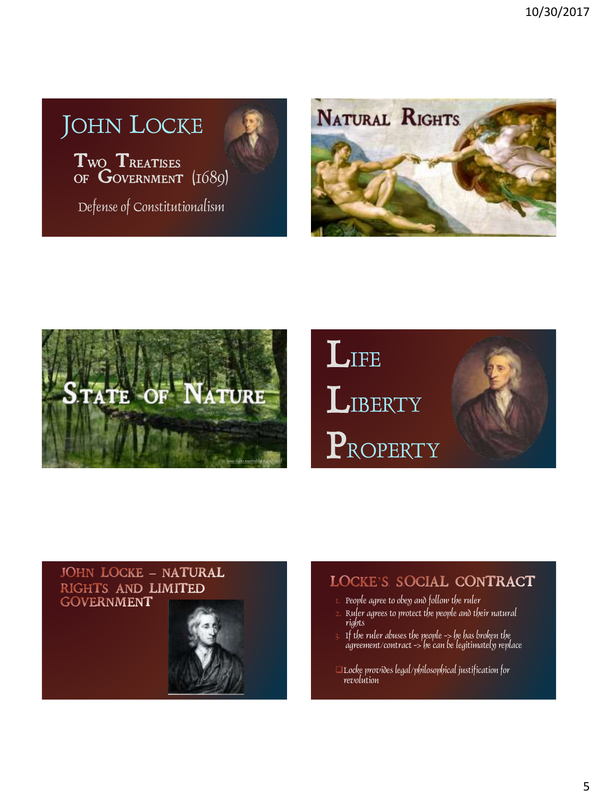## JOHN LOCKE

Two TREATISES OF GOVERNMENT (1689)

Defense of Constitutionalism





## **LIFE LIBERTY** PROPERTY



### **JOHN LOCKE - NATURAL** RIGHTS AND LIMITED **GOVERNMENT**



### LOCKE'S SOCIAL CONTRACT

- People agree to obey and follow the ruler
- 2. Ruler agrees to protect the people and their natural rights
- 3. If the ruler abuses the people -> he has broken the agreement/contract -> he can be legitimately replace
- Locke provides legal/philosophical justification for revolution